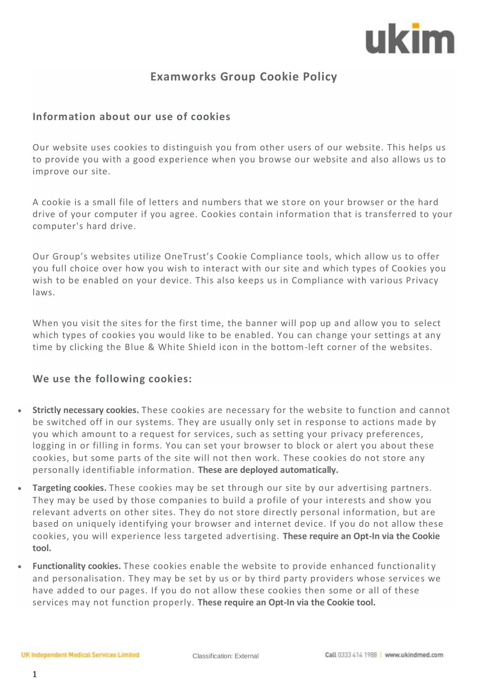# ukim

### **Examworks Group Cookie Policy**

#### **Information about our use of cookies**

Our website uses cookies to distinguish you from other users of our website. This helps us to provide you with a good experience when you browse our website and also allows us to improve our site.

A cookie is a small file of letters and numbers that we store on your browser or the hard drive of your computer if you agree. Cookies contain information that is transferred to your computer's hard drive.

Our Group's websites utilize OneTrust's Cookie Compliance tools, which allow us to offer you full choice over how you wish to interact with our site and which types of Cookies you wish to be enabled on your device. This also keeps us in Compliance with various Privacy laws.

When you visit the sites for the first time, the banner will pop up and allow you to select which types of cookies you would like to be enabled. You can change your settings at any time by clicking the Blue & White Shield icon in the bottom-left corner of the websites.

#### **We use the following cookies:**

- **Strictly necessary cookies.** These cookies are necessary for the website to function and cannot be switched off in our systems. They are usually only set in response to actions made by you which amount to a request for services, such as setting your privacy preferences, logging in or filling in forms. You can set your browser to block or alert you about these cookies, but some parts of the site will not then work. These cookies do not store any personally identifiable information. **These are deployed automatically.**
- **Targeting cookies.** These cookies may be set through our site by our advertising partners. They may be used by those companies to build a profile of your interests and show you relevant adverts on other sites. They do not store directly personal information, but are based on uniquely identifying your browser and internet device. If you do not allow these cookies, you will experience less targeted advertising. **These require an Opt-In via the Cookie tool.**
- **Functionality cookies.** These cookies enable the website to provide enhanced functionalit y and personalisation. They may be set by us or by third party providers whose services we have added to our pages. If you do not allow these cookies then some or all of these services may not function properly. **These require an Opt-In via the Cookie tool.**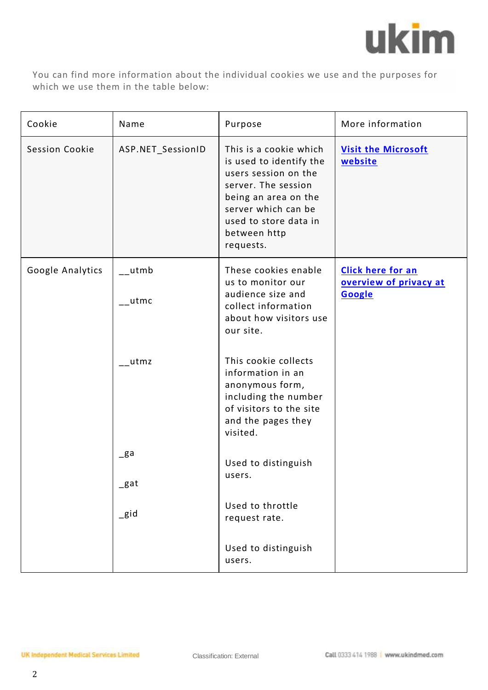

You can find more information about the individual cookies we use and the purposes for which we use them in the table below:

| Cookie                | Name              | Purpose                                                                                                                                                                                               | More information                                             |
|-----------------------|-------------------|-------------------------------------------------------------------------------------------------------------------------------------------------------------------------------------------------------|--------------------------------------------------------------|
| <b>Session Cookie</b> | ASP.NET_SessionID | This is a cookie which<br>is used to identify the<br>users session on the<br>server. The session<br>being an area on the<br>server which can be<br>used to store data in<br>between http<br>requests. | <b>Visit the Microsoft</b><br>website                        |
| Google Analytics      | utmb<br>utmc      | These cookies enable<br>us to monitor our<br>audience size and<br>collect information<br>about how visitors use<br>our site.                                                                          | <b>Click here for an</b><br>overview of privacy at<br>Google |
|                       | $-$ utmz          | This cookie collects<br>information in an<br>anonymous form,<br>including the number<br>of visitors to the site<br>and the pages they<br>visited.                                                     |                                                              |
|                       | $g$ a<br>$\_$ gat | Used to distinguish<br>users.                                                                                                                                                                         |                                                              |
|                       | $\_$ gid          | Used to throttle<br>request rate.                                                                                                                                                                     |                                                              |
|                       |                   | Used to distinguish<br>users.                                                                                                                                                                         |                                                              |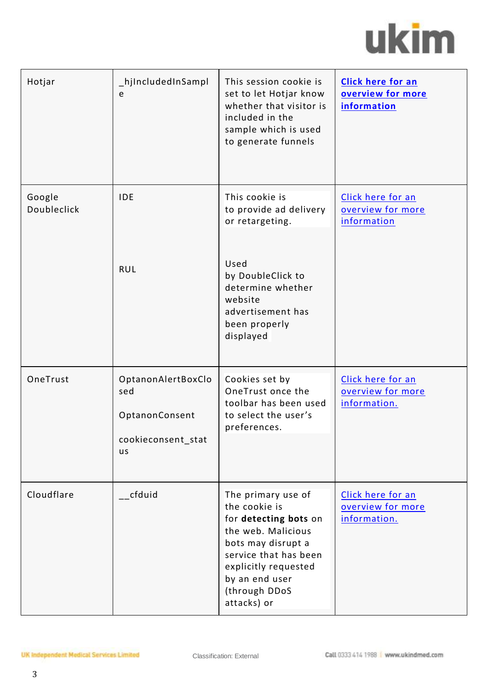# ukim

| Hotjar                | hjIncludedInSampl<br>e                                                         | This session cookie is<br>set to let Hotjar know<br>whether that visitor is<br>included in the<br>sample which is used<br>to generate funnels                                                               | <b>Click here for an</b><br>overview for more<br>information |
|-----------------------|--------------------------------------------------------------------------------|-------------------------------------------------------------------------------------------------------------------------------------------------------------------------------------------------------------|--------------------------------------------------------------|
| Google<br>Doubleclick | <b>IDE</b><br><b>RUL</b>                                                       | This cookie is<br>to provide ad delivery<br>or retargeting.<br>Used<br>by DoubleClick to<br>determine whether<br>website<br>advertisement has<br>been properly<br>displayed                                 | Click here for an<br>overview for more<br><i>information</i> |
| OneTrust              | OptanonAlertBoxClo<br>sed<br>OptanonConsent<br>cookieconsent stat<br><b>us</b> | Cookies set by<br>OneTrust once the<br>toolbar has been used<br>to select the user's<br>preferences.                                                                                                        | Click here for an<br>overview for more<br>information.       |
| Cloudflare            | $\overline{\phantom{0}}$ cfduid                                                | The primary use of<br>the cookie is<br>for detecting bots on<br>the web. Malicious<br>bots may disrupt a<br>service that has been<br>explicitly requested<br>by an end user<br>(through DDoS<br>attacks) or | Click here for an<br>overview for more<br>information.       |